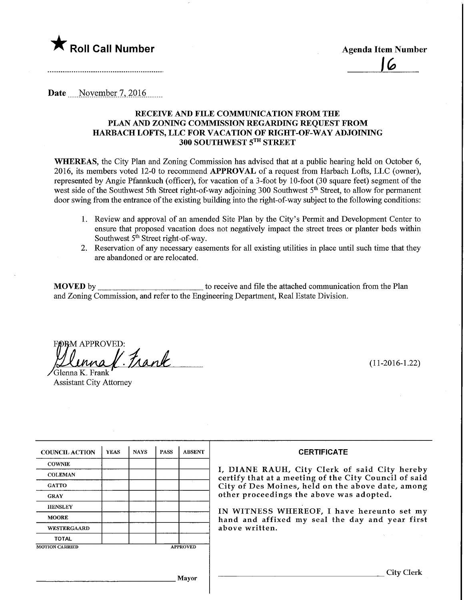$\mathsf K$  Roll Call Number  $\mathsf A$ genda Item Number

Date November 7, 2016

#### RECEIVE AND FILE COMMUNICATION FROM THE PLAN AND ZONING COMMISSION REGARDING REQUEST FROM HARBACH LOFTS, LLC FOR VACATION OF RIGHT-OF-WAY ADJOINING 300 SOUTHWEST 5™ STREET

WHEREAS, the City Plan and Zoning Commission has advised that at a public hearing held on October 6, 2016, its members voted 12-0 to recommend APPROVAL of a request from Harbach Lofts, LLC (owner), represented by Angie Pfannkuch (officer), for vacation of a 3-foot by 10-foot (30 square feet) segment of the west side of the Southwest 5th Street right-of-way adjoining 300 Southwest 5<sup>th</sup> Street, to allow for permanent door swing from the entrance of the existing building into the right-of-way subject to the following conditions:

- 1. Review and approval of an amended Site Plan by the City's Permit and Development Center to ensure that proposed vacation does not negatively impact the street trees or planter beds within Southwest  $5<sup>th</sup>$  Street right-of-way.
- 2. Reservation of any necessary easements for all existing utilities in place until such time that they are abandoned or are relocated.

MOVED by to receive and file the attached communication from the Plan and Zoning Commission, and refer to the Engineering Department, Real Estate Division.

DRM APPROVED:  $H$ ennaf. Frank (11-2016-1.22)

lenna K. Frank Assistant City Attorney

| <b>COUNCIL ACTION</b> | <b>YEAS</b> | <b>NAYS</b> | <b>PASS</b>     | <b>ABSENT</b> |
|-----------------------|-------------|-------------|-----------------|---------------|
| <b>COWNIE</b>         |             |             |                 |               |
| <b>COLEMAN</b>        |             |             |                 |               |
| <b>GATTO</b>          |             |             |                 |               |
| <b>GRAY</b>           |             |             |                 |               |
| <b>HENSLEY</b>        |             |             |                 |               |
| <b>MOORE</b>          |             |             |                 |               |
| WESTERGAARD           |             |             |                 |               |
| <b>TOTAL</b>          |             |             |                 |               |
| <b>MOTION CARRIED</b> |             |             | <b>APPROVED</b> |               |

Mayor

#### **CERTIFICATE**

I, DIANE RAUH, City Clerk of said City hereby certify that at a meeting of the City Council of said City of Des Moines, held on the above date, among other proceedings the above was adopted.

IN WITNESS WHEREOF, I have hereunto set my hand and affixed my seal the day and year first above written.

City Clerk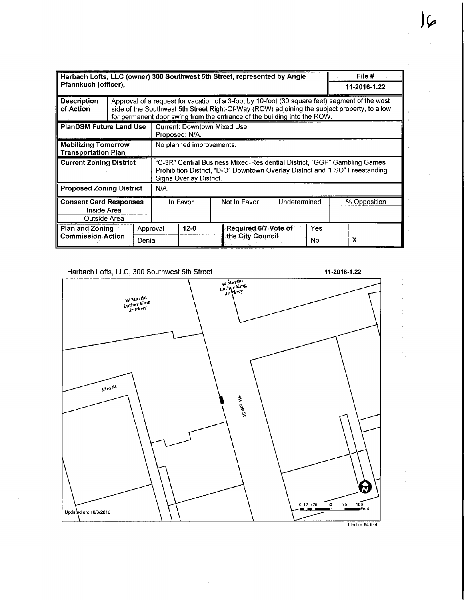| Harbach Lofts, LLC (owner) 300 Southwest 5th Street, represented by Angie |                                                                          |                                                                                                                                                                                                                                                                            |                                                                                                                                                                                     |        |              |                                                       | File # |              |              |  |
|---------------------------------------------------------------------------|--------------------------------------------------------------------------|----------------------------------------------------------------------------------------------------------------------------------------------------------------------------------------------------------------------------------------------------------------------------|-------------------------------------------------------------------------------------------------------------------------------------------------------------------------------------|--------|--------------|-------------------------------------------------------|--------|--------------|--------------|--|
| Pfannkuch (officer),                                                      |                                                                          |                                                                                                                                                                                                                                                                            |                                                                                                                                                                                     |        |              |                                                       |        |              | 11-2016-1.22 |  |
| <b>Description</b><br>of Action                                           |                                                                          | Approval of a request for vacation of a 3-foot by 10-foot (30 square feet) segment of the west<br>side of the Southwest 5th Street Right-Of-Way (ROW) adjoining the subject property, to allow<br>for permanent door swing from the entrance of the building into the ROW. |                                                                                                                                                                                     |        |              |                                                       |        |              |              |  |
| <b>PlanDSM Future Land Use</b>                                            |                                                                          |                                                                                                                                                                                                                                                                            | Current: Downtown Mixed Use.<br>Proposed: N/A.                                                                                                                                      |        |              |                                                       |        |              |              |  |
| <b>Mobilizing Tomorrow</b><br><b>Transportation Plan</b>                  |                                                                          |                                                                                                                                                                                                                                                                            | No planned improvements.                                                                                                                                                            |        |              |                                                       |        |              |              |  |
| <b>Current Zoning District</b>                                            |                                                                          |                                                                                                                                                                                                                                                                            | "C-3R" Central Business Mixed-Residential District, "GGP" Gambling Games<br>Prohibition District, "D-O" Downtown Overlay District and "FSO" Freestanding<br>Signs Overlay District. |        |              |                                                       |        |              |              |  |
| <b>Proposed Zoning District</b>                                           |                                                                          |                                                                                                                                                                                                                                                                            | N/A.                                                                                                                                                                                |        |              |                                                       |        |              |              |  |
| <b>Consent Card Responses</b><br>Inside Area<br>Outside Area              |                                                                          |                                                                                                                                                                                                                                                                            | In Favor                                                                                                                                                                            |        | Not In Favor | Undetermined                                          |        | % Opposition |              |  |
|                                                                           | <b>Plan and Zoning</b><br>Approval<br><b>Commission Action</b><br>Denial |                                                                                                                                                                                                                                                                            |                                                                                                                                                                                     | $12-0$ |              | Required 6/7 Vote of<br>Yes<br>the City Council<br>No |        | х            |              |  |

Harbach Lofts, LLC, 300 Southwest 5th Street 11-2016-1.22 11-2016-1.22

ŧ

)(.



 $\overline{\phantom{a}}$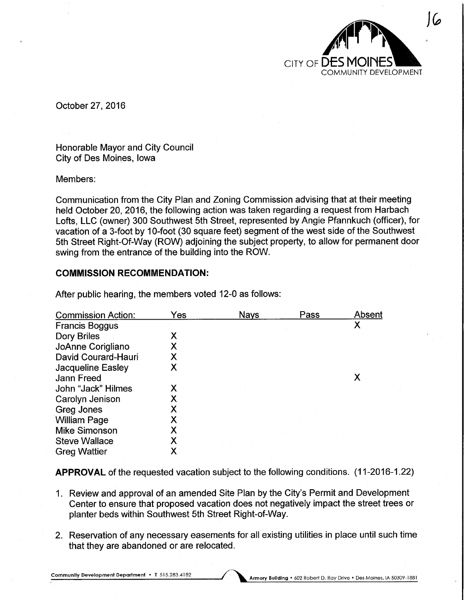

October 27, 2016

Honorable Mayor and City Council City of Des Moines, Iowa

### Members:

Communication from the City Plan and Zoning Commission advising that at their meeting held October 20, 2016, the following action was taken regarding a request from Harbach Lofts, LLC (owner) 300 Southwest 5th Street, represented by Angie Pfannkuch (officer), for vacation of a 3-foot by 10-foot (30 square feet) segment of the west side of the Southwest 5th Street Right-Of-Way (ROW) adjoining the subject property, to allow for permanent door swing from the entrance of the building into the ROW.

# COMMISSION RECOMMENDATION:

| <b>Commission Action:</b> | Yes | <b>Nays</b> | Pass | Absent |
|---------------------------|-----|-------------|------|--------|
| <b>Francis Boggus</b>     |     |             |      | Χ      |
| Dory Briles               | Χ   |             |      |        |
| JoAnne Corigliano         | Χ   |             |      |        |
| David Courard-Hauri       | Χ   |             |      |        |
| <b>Jacqueline Easley</b>  | Х   |             |      |        |
| <b>Jann Freed</b>         |     |             |      | Х      |
| John "Jack" Hilmes        | Х   |             |      |        |
| Carolyn Jenison           | Χ   |             |      |        |
| Greg Jones                | Χ   |             |      |        |
| <b>William Page</b>       | Χ   |             |      |        |
| <b>Mike Simonson</b>      | Χ   |             |      |        |
| <b>Steve Wallace</b>      | Χ   |             |      |        |
| <b>Greg Wattier</b>       | Х   |             |      |        |

After public hearing, the members voted 12-0 as follows:

APPROVAL of the requested vacation subject to the following conditions. (11-2016-1.22)

- 1. Review and approval of an amended Site Plan by the City's Permit and Development Center to ensure that proposed vacation does not negatively impact the street trees or planter beds within Southwest 5th Street Right-of-Way.
- 2. Reservation of any necessary easements for all existing utilities in place until such time that they are abandoned or are relocated.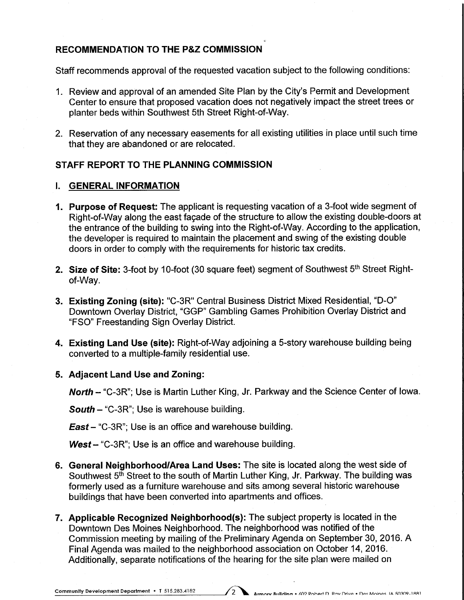# RECOMMENDATION TO THE P&Z COMMISSION

Staff recommends approval of the requested vacation subject to the following conditions:

- 1. Review and approval of an amended Site Plan by the City's Permit and Development Center to ensure that proposed vacation does not negatively impact the street trees or planter beds within Southwest 5th Street Right-of-Way.
- 2. Reservation of any necessary easements for all existing utilities in place until such time that they are abandoned or are relocated.

# STAFF REPORT TO THE PLANNING COMMISSION

#### I. GENERAL INFORMATION

- 1. Purpose of Request: The applicant is requesting vacation of a 3-foot wide segment of Right-of-Way along the east facade of the structure to allow the existing double-doors at the entrance of the building to swing into the Right-of-Way. According to the application, the developer is required to maintain the placement and swing of the existing double doors in order to comply with the requirements for historic tax credits.
- 2. Size of Site: 3-foot by 10-foot (30 square feet) segment of Southwest 5<sup>th</sup> Street Rightof-Way.
- 3. Existing Zoning (site): "C-3R" Central Business District Mixed Residential, "D-0" Downtown Overlay District, "GGP" Gambling Games Prohibition Overlay District and "FSO" Freestanding Sign Overlay District.
- 4. Existing Land Use (site): Right-of-Way adjoining a 5-story warehouse building being converted to a multiple-family residential use.

#### 5. Adjacent Land Use and Zoning:

North - "C-3R"; Use is Martin Luther King, Jr. Parkway and the Science Center of Iowa.

**South - "C-3R"; Use is warehouse building.** 

**East** – "C-3R"; Use is an office and warehouse building.

 $West - "C-3R"$ ; Use is an office and warehouse building.

- 6. General Neighborhood/Area Land Uses: The site is located along the west side of Southwest 5<sup>th</sup> Street to the south of Martin Luther King, Jr. Parkway. The building was formerly used as a furniture warehouse and sits among several historic warehouse buildings that have been converted into apartments and offices.
- 7. Applicable Recognized Neighborhood(s): The subject property is located in the Downtown Des Moines Neighborhood. The neighborhood was notified of the Commission meeting by mailing of the Preliminary Agenda on September 30, 2016. A Final Agenda was mailed to the neighborhood association on October 14,2016. Additionally, separate notifications of the hearing for the site plan were mailed on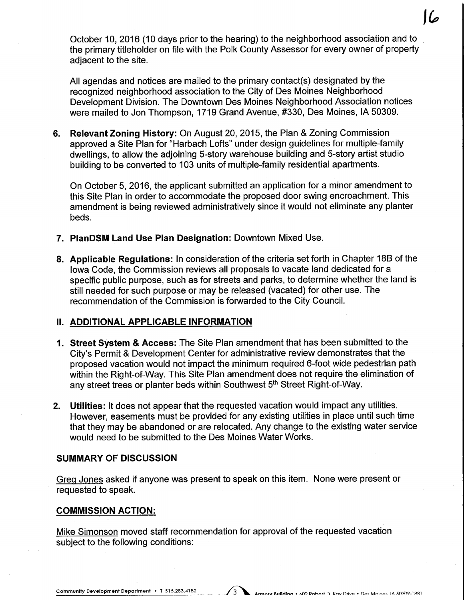October 10, 2016 (10 days prior to the hearing) to the neighborhood association and to the primary titleholder on file with the Polk County Assessor for every owner of property adjacent to the site.

All agendas and notices are mailed to the primary contact(s) designated by the recognized neighborhood association to the City of Des Moines Neighborhood Development Division. The Downtown Des Moines Neighborhood Association notices were mailed to Jon Thompson, 1719 Grand Avenue, #330, Des Moines, IA 50309.

6. Relevant Zoning History: On August 20, 2015, the Plan & Zoning Commission approved a Site Plan for "Harbach Lofts" under design guidelines for multiple-family dwellings, to allow the adjoining 5-story warehouse building and 5-story artist studio building to be converted to 103 units of multiple-family residential apartments.

On October 5, 2016, the applicant submitted an application for a minor amendment to this Site Plan in order to accommodate the proposed door swing encroachment. This amendment is being reviewed administratively since it would not eliminate any planter beds.

- 7. PlanDSM Land Use Plan Designation: Downtown Mixed Use.
- 8. Applicable Regulations: In consideration of the criteria set forth in Chapter 18B of the Iowa Code, the Commission reviews all proposals to vacate land dedicated for a specific public purpose, such as for streets and parks, to determine whether the land is still needed for such purpose or may be released (vacated) for other use. The recommendation of the Commission is forwarded to the City Council.

# II. ADDITIONAL APPLICABLE INFORMATION

- 1. Street System & Access: The Site Plan amendment that has been submitted to the City's Permit & Development Center for administrative review demonstrates that the proposed vacation would not impact the minimum required 6-foot wide pedestrian path within the Right-of-Way. This Site Plan amendment does not require the elimination of any street trees or planter beds within Southwest 5<sup>th</sup> Street Right-of-Way.
- 2. Utilities: It does not appear that the requested vacation would impact any utilities. However, easements must be provided for any existing utilities in place until such time that they may be abandoned or are relocated. Any change to the existing water service would need to be submitted to the Des Moines Water Works.

#### SUMMARY OF DISCUSSION

Greg Jones asked if anyone was present to speak on this item. None were present or requested to speak.

#### COMMISSION ACTION:

Mike Simonson moved staff recommendation for approval of the requested vacation subject to the following conditions: